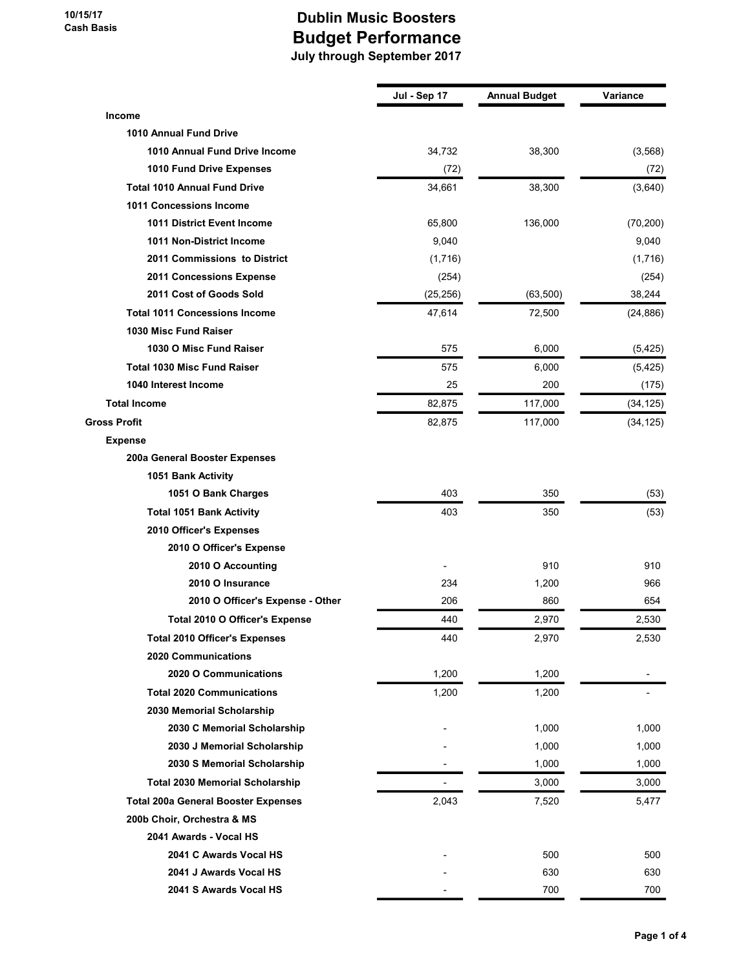|                                            | Jul - Sep 17 | <b>Annual Budget</b> | Variance  |
|--------------------------------------------|--------------|----------------------|-----------|
| Income                                     |              |                      |           |
| <b>1010 Annual Fund Drive</b>              |              |                      |           |
| 1010 Annual Fund Drive Income              | 34,732       | 38,300               | (3, 568)  |
| 1010 Fund Drive Expenses                   | (72)         |                      | (72)      |
| <b>Total 1010 Annual Fund Drive</b>        | 34,661       | 38,300               | (3,640)   |
| 1011 Concessions Income                    |              |                      |           |
| 1011 District Event Income                 | 65,800       | 136,000              | (70, 200) |
| 1011 Non-District Income                   | 9,040        |                      | 9,040     |
| 2011 Commissions to District               | (1,716)      |                      | (1,716)   |
| 2011 Concessions Expense                   | (254)        |                      | (254)     |
| 2011 Cost of Goods Sold                    | (25, 256)    | (63, 500)            | 38,244    |
| <b>Total 1011 Concessions Income</b>       | 47,614       | 72,500               | (24, 886) |
| 1030 Misc Fund Raiser                      |              |                      |           |
| 1030 O Misc Fund Raiser                    | 575          | 6,000                | (5, 425)  |
| <b>Total 1030 Misc Fund Raiser</b>         | 575          | 6,000                | (5, 425)  |
| 1040 Interest Income                       | 25           | 200                  | (175)     |
| <b>Total Income</b>                        | 82,875       | 117,000              | (34, 125) |
| <b>Gross Profit</b>                        | 82,875       | 117,000              | (34, 125) |
| <b>Expense</b>                             |              |                      |           |
| 200a General Booster Expenses              |              |                      |           |
| 1051 Bank Activity                         |              |                      |           |
| 1051 O Bank Charges                        | 403          | 350                  | (53)      |
| <b>Total 1051 Bank Activity</b>            | 403          | 350                  | (53)      |
| 2010 Officer's Expenses                    |              |                      |           |
| 2010 O Officer's Expense                   |              |                      |           |
| 2010 O Accounting                          |              | 910                  | 910       |
| 2010 O Insurance                           | 234          | 1,200                | 966       |
| 2010 O Officer's Expense - Other           | 206          | 860                  | 654       |
| Total 2010 O Officer's Expense             | 440          | 2,970                | 2,530     |
| <b>Total 2010 Officer's Expenses</b>       | 440          | 2,970                | 2,530     |
| 2020 Communications                        |              |                      |           |
| 2020 O Communications                      | 1,200        | 1,200                |           |
| <b>Total 2020 Communications</b>           | 1,200        | 1,200                |           |
| 2030 Memorial Scholarship                  |              |                      |           |
| 2030 C Memorial Scholarship                |              | 1,000                | 1,000     |
| 2030 J Memorial Scholarship                |              | 1,000                | 1,000     |
| 2030 S Memorial Scholarship                |              | 1,000                | 1,000     |
| <b>Total 2030 Memorial Scholarship</b>     |              | 3,000                | 3,000     |
| <b>Total 200a General Booster Expenses</b> | 2,043        | 7,520                | 5,477     |
| 200b Choir, Orchestra & MS                 |              |                      |           |
| 2041 Awards - Vocal HS                     |              |                      |           |
| 2041 C Awards Vocal HS                     |              | 500                  | 500       |
| 2041 J Awards Vocal HS                     |              | 630                  | 630       |
| 2041 S Awards Vocal HS                     |              | 700                  | 700       |
|                                            |              |                      |           |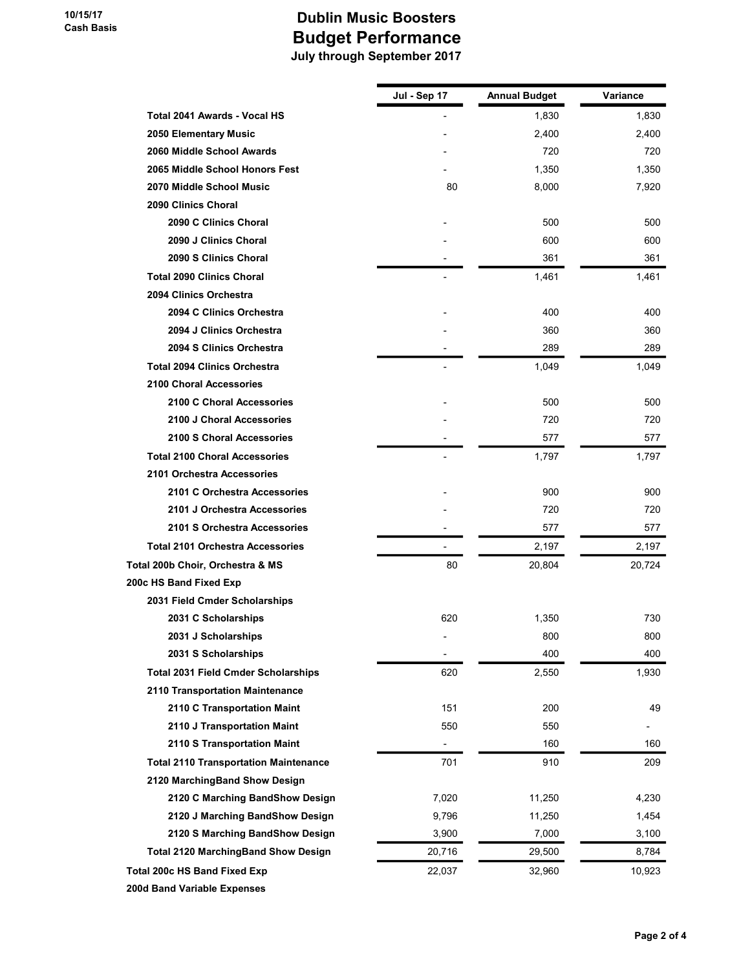|                                              | Jul - Sep 17 | Annual Budget | Variance |
|----------------------------------------------|--------------|---------------|----------|
| Total 2041 Awards - Vocal HS                 |              | 1,830         | 1,830    |
| 2050 Elementary Music                        |              | 2,400         | 2,400    |
| 2060 Middle School Awards                    |              | 720           | 720      |
| 2065 Middle School Honors Fest               |              | 1,350         | 1,350    |
| 2070 Middle School Music                     | 80           | 8,000         | 7,920    |
| 2090 Clinics Choral                          |              |               |          |
| 2090 C Clinics Choral                        |              | 500           | 500      |
| 2090 J Clinics Choral                        |              | 600           | 600      |
| 2090 S Clinics Choral                        |              | 361           | 361      |
| <b>Total 2090 Clinics Choral</b>             |              | 1,461         | 1,461    |
| 2094 Clinics Orchestra                       |              |               |          |
| 2094 C Clinics Orchestra                     |              | 400           | 400      |
| 2094 J Clinics Orchestra                     |              | 360           | 360      |
| 2094 S Clinics Orchestra                     |              | 289           | 289      |
| <b>Total 2094 Clinics Orchestra</b>          |              | 1,049         | 1,049    |
| <b>2100 Choral Accessories</b>               |              |               |          |
| 2100 C Choral Accessories                    |              | 500           | 500      |
| 2100 J Choral Accessories                    |              | 720           | 720      |
| 2100 S Choral Accessories                    |              | 577           | 577      |
| <b>Total 2100 Choral Accessories</b>         |              | 1,797         | 1,797    |
| 2101 Orchestra Accessories                   |              |               |          |
| 2101 C Orchestra Accessories                 |              | 900           | 900      |
| 2101 J Orchestra Accessories                 |              | 720           | 720      |
| 2101 S Orchestra Accessories                 |              | 577           | 577      |
| <b>Total 2101 Orchestra Accessories</b>      |              | 2,197         | 2,197    |
| Total 200b Choir, Orchestra & MS             | 80           | 20,804        | 20,724   |
| 200c HS Band Fixed Exp                       |              |               |          |
| 2031 Field Cmder Scholarships                |              |               |          |
| 2031 C Scholarships                          | 620          | 1,350         | 730      |
| 2031 J Scholarships                          |              | 800           | 800      |
| 2031 S Scholarships                          |              | 400           | 400      |
| <b>Total 2031 Field Cmder Scholarships</b>   | 620          | 2,550         | 1,930    |
| 2110 Transportation Maintenance              |              |               |          |
| 2110 C Transportation Maint                  | 151          | 200           | 49       |
| 2110 J Transportation Maint                  | 550          | 550           |          |
| 2110 S Transportation Maint                  |              | 160           | 160      |
| <b>Total 2110 Transportation Maintenance</b> | 701          | 910           | 209      |
| 2120 MarchingBand Show Design                |              |               |          |
| 2120 C Marching BandShow Design              | 7,020        | 11,250        | 4,230    |
| 2120 J Marching BandShow Design              | 9,796        | 11,250        | 1,454    |
| 2120 S Marching BandShow Design              | 3,900        | 7,000         | 3,100    |
| <b>Total 2120 MarchingBand Show Design</b>   | 20,716       | 29,500        | 8,784    |
| Total 200c HS Band Fixed Exp                 | 22,037       | 32,960        | 10,923   |
| 200d Band Variable Expenses                  |              |               |          |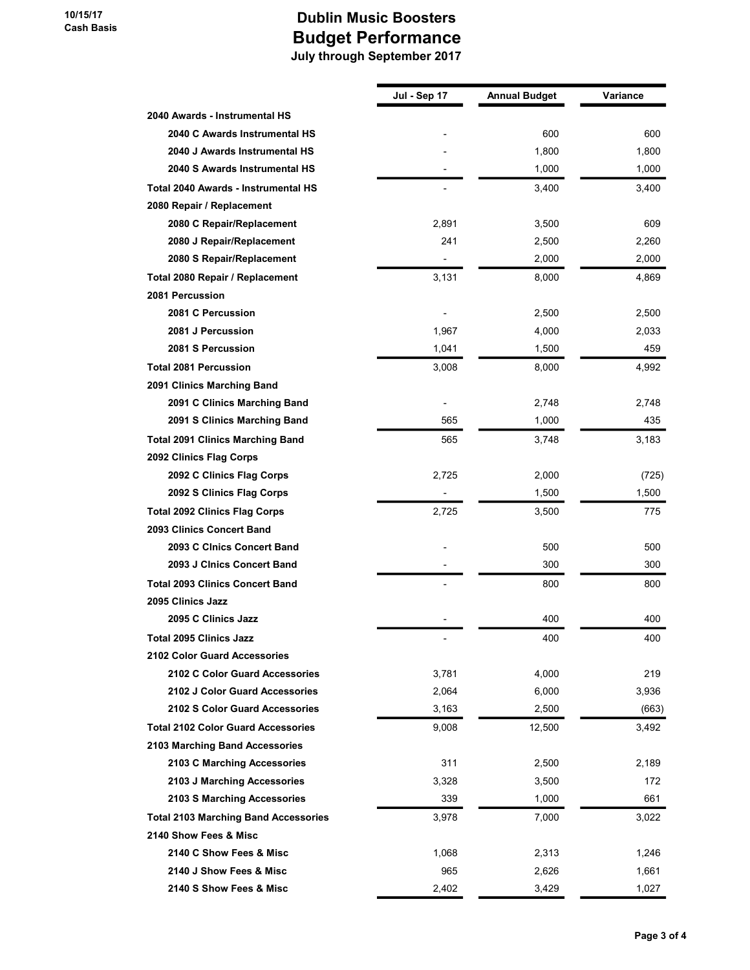|                                             | Jul - Sep 17   | <b>Annual Budget</b> | Variance |
|---------------------------------------------|----------------|----------------------|----------|
| 2040 Awards - Instrumental HS               |                |                      |          |
| 2040 C Awards Instrumental HS               |                | 600                  | 600      |
| 2040 J Awards Instrumental HS               |                | 1,800                | 1,800    |
| 2040 S Awards Instrumental HS               |                | 1,000                | 1,000    |
| Total 2040 Awards - Instrumental HS         |                | 3,400                | 3,400    |
| 2080 Repair / Replacement                   |                |                      |          |
| 2080 C Repair/Replacement                   | 2,891          | 3,500                | 609      |
| 2080 J Repair/Replacement                   | 241            | 2,500                | 2,260    |
| 2080 S Repair/Replacement                   |                | 2,000                | 2,000    |
| Total 2080 Repair / Replacement             | 3,131          | 8,000                | 4,869    |
| 2081 Percussion                             |                |                      |          |
| 2081 C Percussion                           |                | 2,500                | 2,500    |
| 2081 J Percussion                           | 1,967          | 4,000                | 2,033    |
| 2081 S Percussion                           | 1,041          | 1,500                | 459      |
| <b>Total 2081 Percussion</b>                | 3,008          | 8,000                | 4,992    |
| 2091 Clinics Marching Band                  |                |                      |          |
| 2091 C Clinics Marching Band                |                | 2,748                | 2,748    |
| 2091 S Clinics Marching Band                | 565            | 1,000                | 435      |
| <b>Total 2091 Clinics Marching Band</b>     | 565            | 3,748                | 3,183    |
| 2092 Clinics Flag Corps                     |                |                      |          |
| 2092 C Clinics Flag Corps                   | 2,725          | 2,000                | (725)    |
| 2092 S Clinics Flag Corps                   |                | 1,500                | 1,500    |
| <b>Total 2092 Clinics Flag Corps</b>        | 2,725          | 3,500                | 775      |
| 2093 Clinics Concert Band                   |                |                      |          |
| 2093 C Clnics Concert Band                  |                | 500                  | 500      |
| 2093 J Cinics Concert Band                  |                | 300                  | 300      |
| <b>Total 2093 Clinics Concert Band</b>      |                | 800                  | 800      |
| 2095 Clinics Jazz                           |                |                      |          |
| 2095 C Clinics Jazz                         |                | 400                  | 400      |
| <b>Total 2095 Clinics Jazz</b>              | $\overline{a}$ | 400                  | 400      |
| <b>2102 Color Guard Accessories</b>         |                |                      |          |
| 2102 C Color Guard Accessories              | 3,781          | 4,000                | 219      |
| 2102 J Color Guard Accessories              | 2,064          | 6,000                | 3,936    |
| 2102 S Color Guard Accessories              | 3,163          | 2,500                | (663)    |
| <b>Total 2102 Color Guard Accessories</b>   | 9,008          | 12,500               | 3,492    |
| 2103 Marching Band Accessories              |                |                      |          |
| 2103 C Marching Accessories                 | 311            | 2,500                | 2,189    |
| 2103 J Marching Accessories                 | 3,328          | 3,500                | 172      |
| 2103 S Marching Accessories                 | 339            | 1,000                | 661      |
| <b>Total 2103 Marching Band Accessories</b> | 3,978          | 7,000                | 3,022    |
| 2140 Show Fees & Misc                       |                |                      |          |
| 2140 C Show Fees & Misc                     | 1,068          | 2,313                | 1,246    |
| 2140 J Show Fees & Misc                     | 965            | 2,626                | 1,661    |
| 2140 S Show Fees & Misc                     | 2,402          | 3,429                | 1,027    |